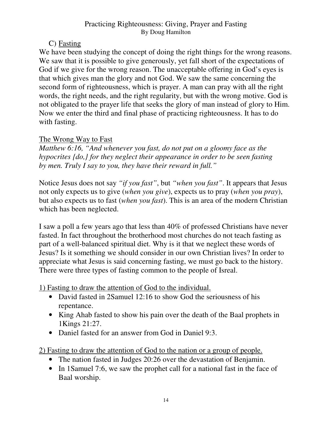# C) Fasting

We have been studying the concept of doing the right things for the wrong reasons. We saw that it is possible to give generously, yet fall short of the expectations of God if we give for the wrong reason. The unacceptable offering in God's eyes is that which gives man the glory and not God. We saw the same concerning the second form of righteousness, which is prayer. A man can pray with all the right words, the right needs, and the right regularity, but with the wrong motive. God is not obligated to the prayer life that seeks the glory of man instead of glory to Him. Now we enter the third and final phase of practicing righteousness. It has to do with fasting.

# The Wrong Way to Fast

*Matthew 6:16, "And whenever you fast, do not put on a gloomy face as the hypocrites {do,} for they neglect their appearance in order to be seen fasting by men. Truly I say to you, they have their reward in full."* 

Notice Jesus does not say *"if you fast"*, but *"when you fast"*. It appears that Jesus not only expects us to give (*when you give*), expects us to pray (*when you pray*), but also expects us to fast (*when you fast*). This is an area of the modern Christian which has been neglected.

I saw a poll a few years ago that less than 40% of professed Christians have never fasted. In fact throughout the brotherhood most churches do not teach fasting as part of a well-balanced spiritual diet. Why is it that we neglect these words of Jesus? Is it something we should consider in our own Christian lives? In order to appreciate what Jesus is said concerning fasting, we must go back to the history. There were three types of fasting common to the people of Isreal.

1) Fasting to draw the attention of God to the individual.

- David fasted in 2Samuel 12:16 to show God the seriousness of his repentance.
- King Ahab fasted to show his pain over the death of the Baal prophets in 1Kings 21:27.
- Daniel fasted for an answer from God in Daniel 9:3.

2) Fasting to draw the attention of God to the nation or a group of people.

- The nation fasted in Judges 20:26 over the devastation of Benjamin.
- In 1Samuel 7:6, we saw the prophet call for a national fast in the face of Baal worship.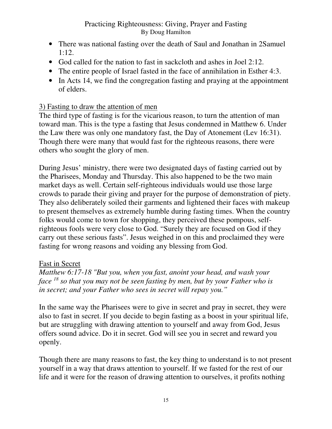- There was national fasting over the death of Saul and Jonathan in 2Samuel 1:12.
- God called for the nation to fast in sackcloth and ashes in Joel 2:12.
- The entire people of Israel fasted in the face of annihilation in Esther 4:3.
- In Acts 14, we find the congregation fasting and praying at the appointment of elders.

# 3) Fasting to draw the attention of men

The third type of fasting is for the vicarious reason, to turn the attention of man toward man. This is the type a fasting that Jesus condemned in Matthew 6. Under the Law there was only one mandatory fast, the Day of Atonement (Lev 16:31). Though there were many that would fast for the righteous reasons, there were others who sought the glory of men.

During Jesus' ministry, there were two designated days of fasting carried out by the Pharisees, Monday and Thursday. This also happened to be the two main market days as well. Certain self-righteous individuals would use those large crowds to parade their giving and prayer for the purpose of demonstration of piety. They also deliberately soiled their garments and lightened their faces with makeup to present themselves as extremely humble during fasting times. When the country folks would come to town for shopping, they perceived these pompous, selfrighteous fools were very close to God. "Surely they are focused on God if they carry out these serious fasts". Jesus weighed in on this and proclaimed they were fasting for wrong reasons and voiding any blessing from God.

## Fast in Secret

*Matthew 6:17-18 "But you, when you fast, anoint your head, and wash your face <sup>18</sup> so that you may not be seen fasting by men, but by your Father who is in secret; and your Father who sees in secret will repay you."* 

In the same way the Pharisees were to give in secret and pray in secret, they were also to fast in secret. If you decide to begin fasting as a boost in your spiritual life, but are struggling with drawing attention to yourself and away from God, Jesus offers sound advice. Do it in secret. God will see you in secret and reward you openly.

Though there are many reasons to fast, the key thing to understand is to not present yourself in a way that draws attention to yourself. If we fasted for the rest of our life and it were for the reason of drawing attention to ourselves, it profits nothing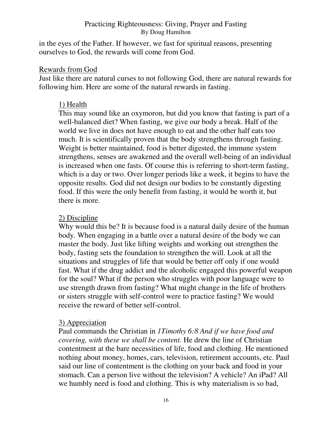in the eyes of the Father. If however, we fast for spiritual reasons, presenting ourselves to God, the rewards will come from God.

#### Rewards from God

Just like there are natural curses to not following God, there are natural rewards for following him. Here are some of the natural rewards in fasting.

#### 1) Health

This may sound like an oxymoron, but did you know that fasting is part of a well-balanced diet? When fasting, we give our body a break. Half of the world we live in does not have enough to eat and the other half eats too much. It is scientifically proven that the body strengthens through fasting. Weight is better maintained, food is better digested, the immune system strengthens, senses are awakened and the overall well-being of an individual is increased when one fasts. Of course this is referring to short-term fasting, which is a day or two. Over longer periods like a week, it begins to have the opposite results. God did not design our bodies to be constantly digesting food. If this were the only benefit from fasting, it would be worth it, but there is more.

#### 2) Discipline

Why would this be? It is because food is a natural daily desire of the human body. When engaging in a battle over a natural desire of the body we can master the body. Just like lifting weights and working out strengthen the body, fasting sets the foundation to strengthen the will. Look at all the situations and struggles of life that would be better off only if one would fast. What if the drug addict and the alcoholic engaged this powerful weapon for the soul? What if the person who struggles with poor language were to use strength drawn from fasting? What might change in the life of brothers or sisters struggle with self-control were to practice fasting? We would receive the reward of better self-control.

## 3) Appreciation

Paul commands the Christian in *1Timothy 6:8 And if we have food and covering, with these we shall be content.* He drew the line of Christian contentment at the bare necessities of life, food and clothing. He mentioned nothing about money, homes, cars, television, retirement accounts, etc. Paul said our line of contentment is the clothing on your back and food in your stomach. Can a person live without the television? A vehicle? An iPad? All we humbly need is food and clothing. This is why materialism is so bad,